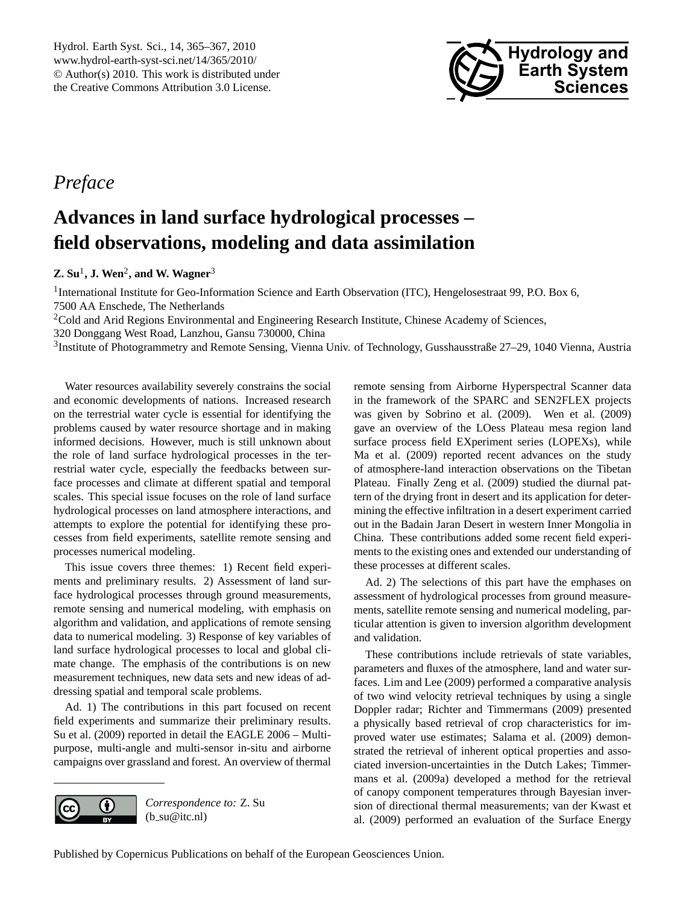

## <span id="page-0-0"></span>*Preface*

# **Advances in land surface hydrological processes – field observations, modeling and data assimilation**

## **Z. Su**<sup>1</sup> **, J. Wen**<sup>2</sup> **, and W. Wagner**<sup>3</sup>

<sup>1</sup>International Institute for Geo-Information Science and Earth Observation (ITC), Hengelosestraat 99, P.O. Box 6, 7500 AA Enschede, The Netherlands

<sup>2</sup>Cold and Arid Regions Environmental and Engineering Research Institute, Chinese Academy of Sciences,

320 Donggang West Road, Lanzhou, Gansu 730000, China

3 Institute of Photogrammetry and Remote Sensing, Vienna Univ. of Technology, Gusshausstraße 27–29, 1040 Vienna, Austria

Water resources availability severely constrains the social and economic developments of nations. Increased research on the terrestrial water cycle is essential for identifying the problems caused by water resource shortage and in making informed decisions. However, much is still unknown about the role of land surface hydrological processes in the terrestrial water cycle, especially the feedbacks between surface processes and climate at different spatial and temporal scales. This special issue focuses on the role of land surface hydrological processes on land atmosphere interactions, and attempts to explore the potential for identifying these processes from field experiments, satellite remote sensing and processes numerical modeling.

This issue covers three themes: 1) Recent field experiments and preliminary results. 2) Assessment of land surface hydrological processes through ground measurements, remote sensing and numerical modeling, with emphasis on algorithm and validation, and applications of remote sensing data to numerical modeling. 3) Response of key variables of land surface hydrological processes to local and global climate change. The emphasis of the contributions is on new measurement techniques, new data sets and new ideas of addressing spatial and temporal scale problems.

Ad. 1) The contributions in this part focused on recent field experiments and summarize their preliminary results. Su et al. (2009) reported in detail the EAGLE 2006 – Multipurpose, multi-angle and multi-sensor in-situ and airborne campaigns over grassland and forest. An overview of thermal



*Correspondence to:* Z. Su  $(b$ \_su@itc.nl)

remote sensing from Airborne Hyperspectral Scanner data in the framework of the SPARC and SEN2FLEX projects was given by Sobrino et al. (2009). Wen et al. (2009) gave an overview of the LOess Plateau mesa region land surface process field EXperiment series (LOPEXs), while Ma et al. (2009) reported recent advances on the study of atmosphere-land interaction observations on the Tibetan Plateau. Finally Zeng et al. (2009) studied the diurnal pattern of the drying front in desert and its application for determining the effective infiltration in a desert experiment carried out in the Badain Jaran Desert in western Inner Mongolia in China. These contributions added some recent field experiments to the existing ones and extended our understanding of these processes at different scales.

Ad. 2) The selections of this part have the emphases on assessment of hydrological processes from ground measurements, satellite remote sensing and numerical modeling, particular attention is given to inversion algorithm development and validation.

These contributions include retrievals of state variables, parameters and fluxes of the atmosphere, land and water surfaces. Lim and Lee (2009) performed a comparative analysis of two wind velocity retrieval techniques by using a single Doppler radar; Richter and Timmermans (2009) presented a physically based retrieval of crop characteristics for improved water use estimates; Salama et al. (2009) demonstrated the retrieval of inherent optical properties and associated inversion-uncertainties in the Dutch Lakes; Timmermans et al. (2009a) developed a method for the retrieval of canopy component temperatures through Bayesian inversion of directional thermal measurements; van der Kwast et al. (2009) performed an evaluation of the Surface Energy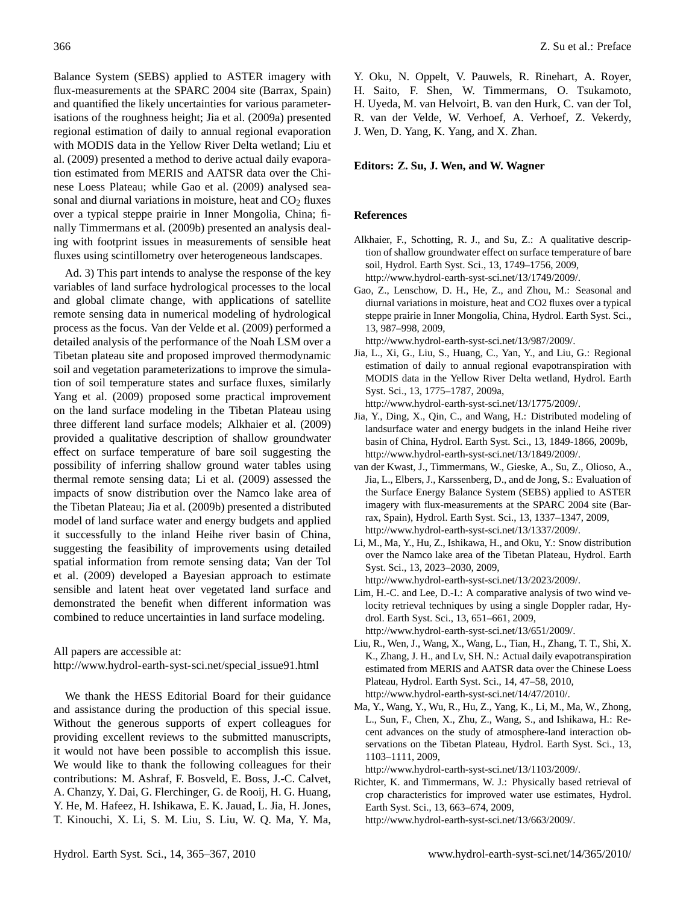Balance System (SEBS) applied to ASTER imagery with flux-measurements at the SPARC 2004 site (Barrax, Spain) and quantified the likely uncertainties for various parameterisations of the roughness height; Jia et al. (2009a) presented regional estimation of daily to annual regional evaporation with MODIS data in the Yellow River Delta wetland; Liu et al. (2009) presented a method to derive actual daily evaporation estimated from MERIS and AATSR data over the Chinese Loess Plateau; while Gao et al. (2009) analysed seasonal and diurnal variations in moisture, heat and  $CO<sub>2</sub>$  fluxes over a typical steppe prairie in Inner Mongolia, China; finally Timmermans et al. (2009b) presented an analysis dealing with footprint issues in measurements of sensible heat fluxes using scintillometry over heterogeneous landscapes.

Ad. 3) This part intends to analyse the response of the key variables of land surface hydrological processes to the local and global climate change, with applications of satellite remote sensing data in numerical modeling of hydrological process as the focus. Van der Velde et al. (2009) performed a detailed analysis of the performance of the Noah LSM over a Tibetan plateau site and proposed improved thermodynamic soil and vegetation parameterizations to improve the simulation of soil temperature states and surface fluxes, similarly Yang et al. (2009) proposed some practical improvement on the land surface modeling in the Tibetan Plateau using three different land surface models; Alkhaier et al. (2009) provided a qualitative description of shallow groundwater effect on surface temperature of bare soil suggesting the possibility of inferring shallow ground water tables using thermal remote sensing data; Li et al. (2009) assessed the impacts of snow distribution over the Namco lake area of the Tibetan Plateau; Jia et al. (2009b) presented a distributed model of land surface water and energy budgets and applied it successfully to the inland Heihe river basin of China, suggesting the feasibility of improvements using detailed spatial information from remote sensing data; Van der Tol et al. (2009) developed a Bayesian approach to estimate sensible and latent heat over vegetated land surface and demonstrated the benefit when different information was combined to reduce uncertainties in land surface modeling.

All papers are accessible at:

[http://www.hydrol-earth-syst-sci.net/special](http://www.hydrol-earth-syst-sci.net/special_issue91.html) issue91.html

We thank the HESS Editorial Board for their guidance and assistance during the production of this special issue. Without the generous supports of expert colleagues for providing excellent reviews to the submitted manuscripts, it would not have been possible to accomplish this issue. We would like to thank the following colleagues for their contributions: M. Ashraf, F. Bosveld, E. Boss, J.-C. Calvet, A. Chanzy, Y. Dai, G. Flerchinger, G. de Rooij, H. G. Huang, Y. He, M. Hafeez, H. Ishikawa, E. K. Jauad, L. Jia, H. Jones, T. Kinouchi, X. Li, S. M. Liu, S. Liu, W. Q. Ma, Y. Ma, Y. Oku, N. Oppelt, V. Pauwels, R. Rinehart, A. Royer, H. Saito, F. Shen, W. Timmermans, O. Tsukamoto, H. Uyeda, M. van Helvoirt, B. van den Hurk, C. van der Tol, R. van der Velde, W. Verhoef, A. Verhoef, Z. Vekerdy, J. Wen, D. Yang, K. Yang, and X. Zhan.

### **Editors: Z. Su, J. Wen, and W. Wagner**

#### **References**

- Alkhaier, F., Schotting, R. J., and Su, Z.: A qualitative description of shallow groundwater effect on surface temperature of bare soil, Hydrol. Earth Syst. Sci., 13, 1749–1756, 2009, [http://www.hydrol-earth-syst-sci.net/13/1749/2009/.](http://www.hydrol-earth-syst-sci.net/13/1749/2009/)
- Gao, Z., Lenschow, D. H., He, Z., and Zhou, M.: Seasonal and diurnal variations in moisture, heat and CO2 fluxes over a typical steppe prairie in Inner Mongolia, China, Hydrol. Earth Syst. Sci., 13, 987–998, 2009,
	- [http://www.hydrol-earth-syst-sci.net/13/987/2009/.](http://www.hydrol-earth-syst-sci.net/13/987/2009/)
- Jia, L., Xi, G., Liu, S., Huang, C., Yan, Y., and Liu, G.: Regional estimation of daily to annual regional evapotranspiration with MODIS data in the Yellow River Delta wetland, Hydrol. Earth Syst. Sci., 13, 1775–1787, 2009a,
	- [http://www.hydrol-earth-syst-sci.net/13/1775/2009/.](http://www.hydrol-earth-syst-sci.net/13/1775/2009/)
- Jia, Y., Ding, X., Qin, C., and Wang, H.: Distributed modeling of landsurface water and energy budgets in the inland Heihe river basin of China, Hydrol. Earth Syst. Sci., 13, 1849-1866, 2009b, [http://www.hydrol-earth-syst-sci.net/13/1849/2009/.](http://www.hydrol-earth-syst-sci.net/13/1849/2009/)
- van der Kwast, J., Timmermans, W., Gieske, A., Su, Z., Olioso, A., Jia, L., Elbers, J., Karssenberg, D., and de Jong, S.: Evaluation of the Surface Energy Balance System (SEBS) applied to ASTER imagery with flux-measurements at the SPARC 2004 site (Barrax, Spain), Hydrol. Earth Syst. Sci., 13, 1337–1347, 2009, [http://www.hydrol-earth-syst-sci.net/13/1337/2009/.](http://www.hydrol-earth-syst-sci.net/13/1337/2009/)
- Li, M., Ma, Y., Hu, Z., Ishikawa, H., and Oku, Y.: Snow distribution over the Namco lake area of the Tibetan Plateau, Hydrol. Earth Syst. Sci., 13, 2023–2030, 2009, [http://www.hydrol-earth-syst-sci.net/13/2023/2009/.](http://www.hydrol-earth-syst-sci.net/13/2023/2009/)
- Lim, H.-C. and Lee, D.-I.: A comparative analysis of two wind velocity retrieval techniques by using a single Doppler radar, Hydrol. Earth Syst. Sci., 13, 651–661, 2009, [http://www.hydrol-earth-syst-sci.net/13/651/2009/.](http://www.hydrol-earth-syst-sci.net/13/651/2009/)
- Liu, R., Wen, J., Wang, X., Wang, L., Tian, H., Zhang, T. T., Shi, X. K., Zhang, J. H., and Lv, SH. N.: Actual daily evapotranspiration estimated from MERIS and AATSR data over the Chinese Loess Plateau, Hydrol. Earth Syst. Sci., 14, 47–58, 2010, [http://www.hydrol-earth-syst-sci.net/14/47/2010/.](http://www.hydrol-earth-syst-sci.net/14/47/2010/)
- Ma, Y., Wang, Y., Wu, R., Hu, Z., Yang, K., Li, M., Ma, W., Zhong, L., Sun, F., Chen, X., Zhu, Z., Wang, S., and Ishikawa, H.: Recent advances on the study of atmosphere-land interaction observations on the Tibetan Plateau, Hydrol. Earth Syst. Sci., 13, 1103–1111, 2009,

[http://www.hydrol-earth-syst-sci.net/13/1103/2009/.](http://www.hydrol-earth-syst-sci.net/13/1103/2009/)

Richter, K. and Timmermans, W. J.: Physically based retrieval of crop characteristics for improved water use estimates, Hydrol. Earth Syst. Sci., 13, 663–674, 2009,

[http://www.hydrol-earth-syst-sci.net/13/663/2009/.](http://www.hydrol-earth-syst-sci.net/13/663/2009/)